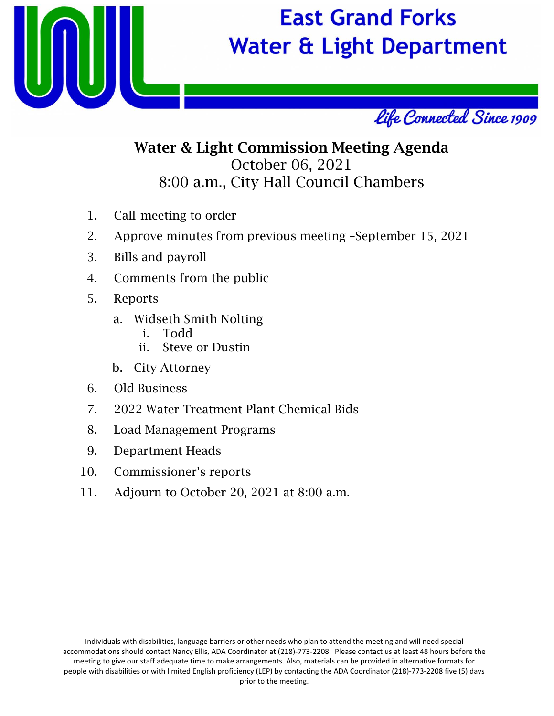

## **East Grand Forks Water & Light Department**



### Water & Light Commission Meeting Agenda October 06, 2021 8:00 a.m., City Hall Council Chambers

- 1. Call meeting to order
- 2. Approve minutes from previous meeting –September 15, 2021
- 3. Bills and payroll
- 4. Comments from the public
- 5. Reports
	- a. Widseth Smith Nolting
		- i. Todd
		- ii. Steve or Dustin
	- b. City Attorney
- 6. Old Business
- 7. 2022 Water Treatment Plant Chemical Bids
- 8. Load Management Programs
- 9. Department Heads
- 10. Commissioner's reports
- 11. Adjourn to October 20, 2021 at 8:00 a.m.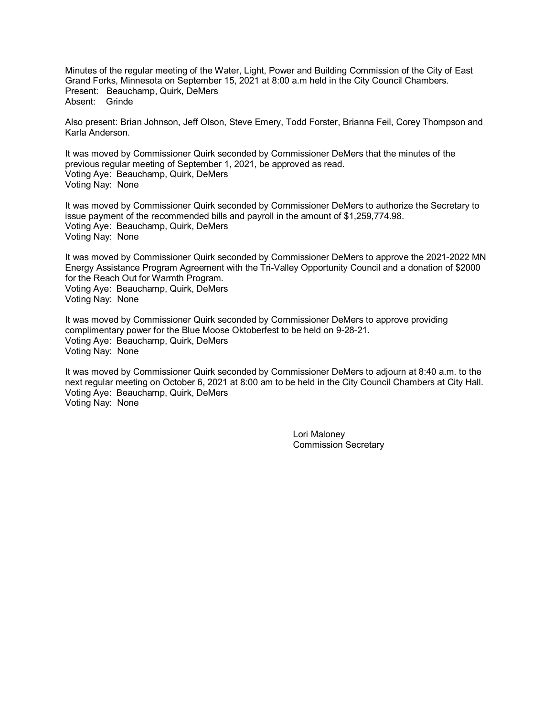Minutes of the regular meeting of the Water, Light, Power and Building Commission of the City of East Grand Forks, Minnesota on September 15, 2021 at 8:00 a.m held in the City Council Chambers. Present: Beauchamp, Quirk, DeMers Absent: Grinde

Also present: Brian Johnson, Jeff Olson, Steve Emery, Todd Forster, Brianna Feil, Corey Thompson and Karla Anderson.

It was moved by Commissioner Quirk seconded by Commissioner DeMers that the minutes of the previous regular meeting of September 1, 2021, be approved as read. Voting Aye: Beauchamp, Quirk, DeMers Voting Nay: None

It was moved by Commissioner Quirk seconded by Commissioner DeMers to authorize the Secretary to issue payment of the recommended bills and payroll in the amount of \$1,259,774.98. Voting Aye: Beauchamp, Quirk, DeMers Voting Nay: None

It was moved by Commissioner Quirk seconded by Commissioner DeMers to approve the 2021-2022 MN Energy Assistance Program Agreement with the Tri-Valley Opportunity Council and a donation of \$2000 for the Reach Out for Warmth Program. Voting Aye: Beauchamp, Quirk, DeMers Voting Nay: None

It was moved by Commissioner Quirk seconded by Commissioner DeMers to approve providing complimentary power for the Blue Moose Oktoberfest to be held on 9-28-21. Voting Aye: Beauchamp, Quirk, DeMers Voting Nay: None

It was moved by Commissioner Quirk seconded by Commissioner DeMers to adjourn at 8:40 a.m. to the next regular meeting on October 6, 2021 at 8:00 am to be held in the City Council Chambers at City Hall. Voting Aye: Beauchamp, Quirk, DeMers Voting Nay: None

> Lori Maloney Commission Secretary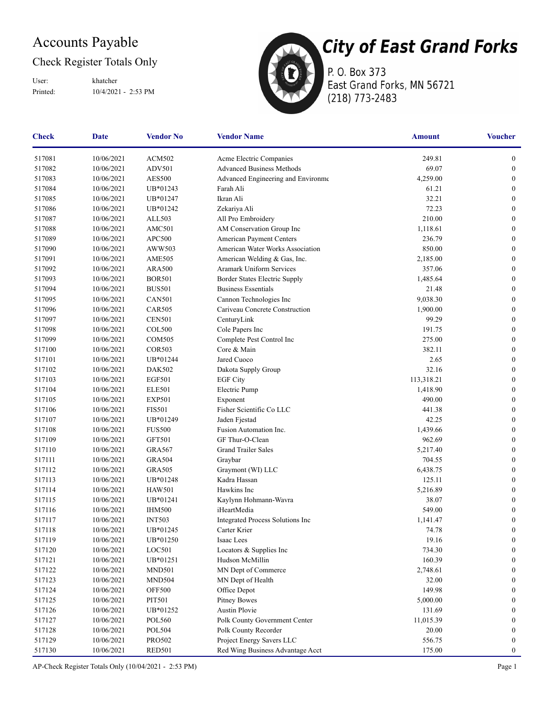### Accounts Payable

#### Check Register Totals Only

User: khatcher

Printed: 10/4/2021 - 2:53 PM



**City of East Grand Forks** 

P. O. Box 373 East Grand Forks, MN 56721 (218) 773-2483

| <b>Check</b> | <b>Date</b>    | <b>Vendor No</b> | <b>Vendor Name</b>                 | <b>Amount</b> | <b>Voucher</b>   |
|--------------|----------------|------------------|------------------------------------|---------------|------------------|
| 517081       | 10/06/2021     | <b>ACM502</b>    | Acme Electric Companies            | 249.81        | $\boldsymbol{0}$ |
| 517082       | 10/06/2021     | ADV501           | <b>Advanced Business Methods</b>   | 69.07         | $\boldsymbol{0}$ |
| 517083       | 10/06/2021     | <b>AES500</b>    | Advanced Engineering and Environme | 4,259.00      | $\boldsymbol{0}$ |
| 517084       | 10/06/2021     | UB*01243         | Farah Ali                          | 61.21         | $\boldsymbol{0}$ |
| 517085       | 10/06/2021     | UB*01247         | Ikran Ali                          | 32.21         | $\boldsymbol{0}$ |
| 517086       | 10/06/2021     | UB*01242         | Zekariya Ali                       | 72.23         | $\boldsymbol{0}$ |
| 517087       | 10/06/2021     | ALL503           | All Pro Embroidery                 | 210.00        | $\boldsymbol{0}$ |
| 517088       | 10/06/2021     | <b>AMC501</b>    | AM Conservation Group Inc          | 1,118.61      | $\boldsymbol{0}$ |
| 517089       | 10/06/2021     | <b>APC500</b>    | American Payment Centers           | 236.79        | $\boldsymbol{0}$ |
| 517090       | 10/06/2021     | AWW503           | American Water Works Association   | 850.00        | $\boldsymbol{0}$ |
| 517091       | 10/06/2021     | <b>AME505</b>    | American Welding & Gas, Inc.       | 2,185.00      | $\boldsymbol{0}$ |
| 517092       | 10/06/2021     | <b>ARA500</b>    | Aramark Uniform Services           | 357.06        | $\boldsymbol{0}$ |
| 517093       | 10/06/2021     | <b>BOR501</b>    | Border States Electric Supply      | 1,485.64      | $\boldsymbol{0}$ |
| 517094       | 10/06/2021     | <b>BUS501</b>    | <b>Business Essentials</b>         | 21.48         | $\boldsymbol{0}$ |
| 517095       | 10/06/2021     | <b>CAN501</b>    | Cannon Technologies Inc            | 9,038.30      | $\boldsymbol{0}$ |
| 517096       | 10/06/2021     | <b>CAR505</b>    | Cariveau Concrete Construction     | 1,900.00      | $\boldsymbol{0}$ |
| 517097       | 10/06/2021     | <b>CEN501</b>    | CenturyLink                        | 99.29         | $\boldsymbol{0}$ |
| 517098       | 10/06/2021     | COL500           | Cole Papers Inc                    | 191.75        | $\boldsymbol{0}$ |
| 517099       | 10/06/2021     | <b>COM505</b>    | Complete Pest Control Inc          | 275.00        | $\boldsymbol{0}$ |
| 517100       | 10/06/2021     | <b>COR503</b>    | Core & Main                        | 382.11        | $\boldsymbol{0}$ |
| 517101       | 10/06/2021     | UB*01244         | Jared Cuoco                        | 2.65          | $\boldsymbol{0}$ |
| 517102       | 10/06/2021     | <b>DAK502</b>    | Dakota Supply Group                | 32.16         | $\boldsymbol{0}$ |
| 517103       | 10/06/2021     | <b>EGF501</b>    | <b>EGF City</b>                    | 113,318.21    | $\boldsymbol{0}$ |
| 517104       | 10/06/2021     | <b>ELE501</b>    | Electric Pump                      | 1,418.90      | $\boldsymbol{0}$ |
| 517105       | 10/06/2021     | <b>EXP501</b>    | Exponent                           | 490.00        | $\boldsymbol{0}$ |
| 517106       | 10/06/2021     | <b>FIS501</b>    | Fisher Scientific Co LLC           | 441.38        | $\boldsymbol{0}$ |
| 517107       | 10/06/2021     | UB*01249         | Jaden Fjestad                      | 42.25         | $\boldsymbol{0}$ |
| 517108       | 10/06/2021     | <b>FUS500</b>    | Fusion Automation Inc.             | 1,439.66      | $\boldsymbol{0}$ |
| 517109       | 10/06/2021     | <b>GFT501</b>    | GF Thur-O-Clean                    | 962.69        | $\boldsymbol{0}$ |
| 517110       | 10/06/2021     | <b>GRA567</b>    | <b>Grand Trailer Sales</b>         | 5,217.40      | $\mathbf{0}$     |
| 517111       | 10/06/2021     | <b>GRA504</b>    | Graybar                            | 704.55        | $\boldsymbol{0}$ |
| 517112       | 10/06/2021     | <b>GRA505</b>    | Graymont (WI) LLC                  | 6,438.75      | $\boldsymbol{0}$ |
| 517113       | 10/06/2021     | UB*01248         | Kadra Hassan                       | 125.11        | $\boldsymbol{0}$ |
| 517114       | 10/06/2021     | <b>HAW501</b>    | Hawkins Inc                        | 5,216.89      | $\boldsymbol{0}$ |
| 517115       | 10/06/2021     | UB*01241         | Kaylynn Hohmann-Wavra              | 38.07         | $\bf{0}$         |
| 517116       | 10/06/2021     | <b>IHM500</b>    | iHeartMedia                        | 549.00        | $\boldsymbol{0}$ |
| 517117       | 10/06/2021     | <b>INT503</b>    | Integrated Process Solutions Inc   | 1,141.47      | $\bf{0}$         |
| 517118       | 10/06/2021     | UB*01245         | Carter Krier                       | 74.78         | $\boldsymbol{0}$ |
| 517119       | $10/06/2021\,$ | UB*01250         | Isaac Lees                         | 19.16         | $\boldsymbol{0}$ |
| 517120       | 10/06/2021     | LOC501           | Locators & Supplies Inc            | 734.30        | $\boldsymbol{0}$ |
| 517121       | 10/06/2021     | UB*01251         | Hudson McMillin                    | 160.39        | $\boldsymbol{0}$ |
| 517122       | 10/06/2021     | <b>MND501</b>    | MN Dept of Commerce                | 2,748.61      | $\bf{0}$         |
| 517123       | 10/06/2021     | <b>MND504</b>    | MN Dept of Health                  | 32.00         | $\boldsymbol{0}$ |
| 517124       | 10/06/2021     | <b>OFF500</b>    | Office Depot                       | 149.98        | $\bf{0}$         |
| 517125       | 10/06/2021     | PIT501           | <b>Pitney Bowes</b>                | 5,000.00      | $\mathbf{0}$     |
| 517126       | 10/06/2021     | UB*01252         | Austin Plovie                      | 131.69        | $\boldsymbol{0}$ |
| 517127       | 10/06/2021     | <b>POL560</b>    | Polk County Government Center      | 11,015.39     | $\boldsymbol{0}$ |
| 517128       | 10/06/2021     | <b>POL504</b>    | Polk County Recorder               | 20.00         | $\boldsymbol{0}$ |
| 517129       | 10/06/2021     | PRO502           | Project Energy Savers LLC          | 556.75        | $\boldsymbol{0}$ |
| 517130       | 10/06/2021     | <b>RED501</b>    | Red Wing Business Advantage Acct   | 175.00        | $\boldsymbol{0}$ |

AP-Check Register Totals Only (10/04/2021 - 2:53 PM) Page 1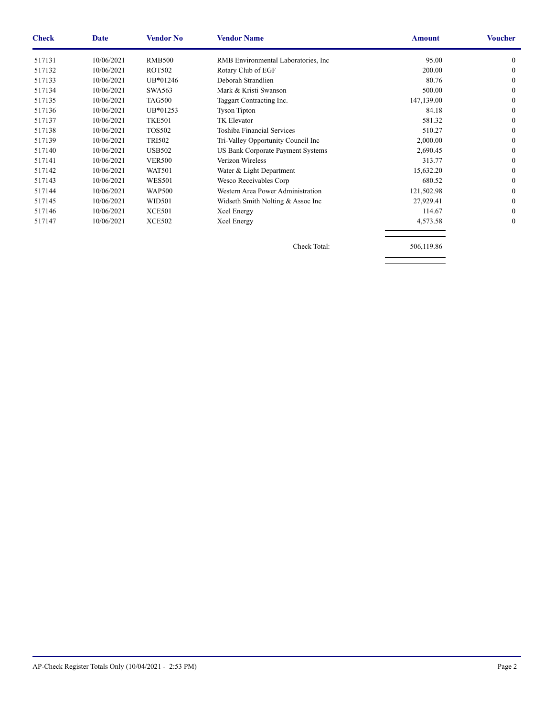| <b>Check</b> | Date       | <b>Vendor No</b> | <b>Vendor Name</b>                   | <b>Amount</b> | <b>Voucher</b> |
|--------------|------------|------------------|--------------------------------------|---------------|----------------|
| 517131       | 10/06/2021 | <b>RMB500</b>    | RMB Environmental Laboratories, Inc. | 95.00         | 0              |
| 517132       | 10/06/2021 | <b>ROT502</b>    | Rotary Club of EGF                   | 200.00        | 0              |
| 517133       | 10/06/2021 | UB*01246         | Deborah Strandlien                   | 80.76         | 0              |
| 517134       | 10/06/2021 | <b>SWA563</b>    | Mark & Kristi Swanson                | 500.00        | 0              |
| 517135       | 10/06/2021 | <b>TAG500</b>    | Taggart Contracting Inc.             | 147,139.00    | 0              |
| 517136       | 10/06/2021 | UB*01253         | <b>Tyson Tipton</b>                  | 84.18         | 0              |
| 517137       | 10/06/2021 | <b>TKE501</b>    | <b>TK Elevator</b>                   | 581.32        | 0              |
| 517138       | 10/06/2021 | <b>TOS502</b>    | Toshiba Financial Services           | 510.27        | 0              |
| 517139       | 10/06/2021 | <b>TRI502</b>    | Tri-Valley Opportunity Council Inc   | 2,000.00      | 0              |
| 517140       | 10/06/2021 | <b>USB502</b>    | US Bank Corporate Payment Systems    | 2,690.45      | 0              |
| 517141       | 10/06/2021 | <b>VER500</b>    | Verizon Wireless                     | 313.77        | 0              |
| 517142       | 10/06/2021 | <b>WAT501</b>    | Water & Light Department             | 15,632.20     | 0              |
| 517143       | 10/06/2021 | <b>WES501</b>    | Wesco Receivables Corp               | 680.52        | 0              |
| 517144       | 10/06/2021 | <b>WAP500</b>    | Western Area Power Administration    | 121,502.98    | 0              |
| 517145       | 10/06/2021 | <b>WID501</b>    | Widseth Smith Nolting & Assoc Inc    | 27,929.41     | 0              |
| 517146       | 10/06/2021 | <b>XCE501</b>    | Xcel Energy                          | 114.67        | 0              |
| 517147       | 10/06/2021 | <b>XCE502</b>    | Xcel Energy                          | 4,573.58      | 0              |
|              |            |                  | Check Total:                         | 506,119.86    |                |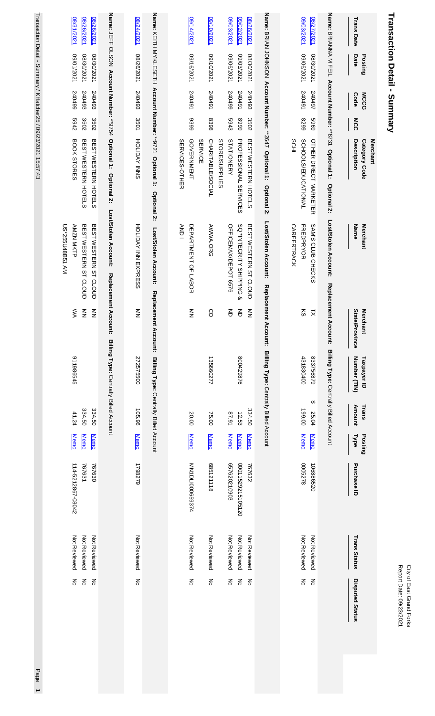| <b>Report Date: 09/23/2021</b> |  |
|--------------------------------|--|
| Vity of East Grand Forks       |  |

# Transaction Detail - Summary **Transaction Detail - Summary**

|                                                     | Posting                               | <b>MCCG</b>                |                      | <b>Merchant</b><br>Category Code                                           | <b>Merchant</b>                                                                        | <b>Merchant</b>                         | Taxpayer ID                                     | Trans                     | Posting                                   |                                       |                                              |                                                                   |
|-----------------------------------------------------|---------------------------------------|----------------------------|----------------------|----------------------------------------------------------------------------|----------------------------------------------------------------------------------------|-----------------------------------------|-------------------------------------------------|---------------------------|-------------------------------------------|---------------------------------------|----------------------------------------------|-------------------------------------------------------------------|
| <b>Trans Date</b>                                   | Date                                  | <b>Code</b>                | MCC                  | Description                                                                | Name                                                                                   | State/Province                          | Number (TIN)                                    | Amount                    | <b>Type</b>                               | Purchase ID                           | <b>Trans Status</b>                          | <b>Disputed Status</b>                                            |
|                                                     |                                       |                            |                      | Name: BRIANNA M FEIL Account Number: **8731 Optional 1:<br>Optional 2:     | Lost/Stolen Account:                                                                   | Replacement Account:                    | Billing Type: Centrally Billed Account          |                           |                                           |                                       |                                              |                                                                   |
| 09/03/2021<br>08/27/2021                            | 1202/90/60<br>120202630               | 240491<br>240497           | 6969<br>6628         | SCHOOLS/EDUCATIONAL<br>OTHER DIRECT MARKETER                               | SAM'S CLUB CHECKS<br><b>FREDPRYOR</b>                                                  | 6<br>$\geq$                             | 431830400<br>833756879<br>↮                     | 199.00<br>25.04           | <b>Memo</b><br><b>Memo</b>                | 8223000<br>106886520                  | Not Reviewed<br>Not Reviewed                 | $\overline{6}$<br>$\overline{5}$                                  |
|                                                     |                                       |                            |                      | <b>SCHL</b>                                                                | <b>CAREERTRACK</b>                                                                     |                                         |                                                 |                           |                                           |                                       |                                              |                                                                   |
|                                                     |                                       |                            |                      | Name: BRIAN JOHNSON Account Number: **2647 Optional 1:<br>Optional 2:      | Lost/Stolen Account:                                                                   | Replacement Account:                    | Billing Type: Centrally Billed Account          |                           |                                           |                                       |                                              |                                                                   |
| 08/26/2021                                          | 1202/30/2021                          | 240493                     | 3502                 | BEST WESTERN HOTELS                                                        | BEST WESTERN ST CLOUD                                                                  | $\sum_{i=1}^{n}$                        |                                                 | 334.50                    | <b>Memo</b>                               | 767632                                | Not Reviewed                                 | $\mathop{\mathsf{S}}\nolimits$                                    |
| 09/03/2021<br>09/02/2021                            | 120Z/90/60<br>1202/2021               | 16+045<br>66+0+2           | 5943<br>6668         | <b>STATIONERY</b><br><b>PROFESSIONAL SERVICES</b><br><b>STORE/SUPPLIES</b> | SQ *INTEGRITY SHIPPING<br>OFFICEMAX/DEPOT 6576<br><sub>o</sub>                         | 증<br>증                                  | 800429876                                       | 16'18<br>12.53            | <b>Memo</b><br><b>Memo</b>                | 657620210903<br>00011529215105120     | Not Reviewed<br>Not Reviewed                 | $\frac{2}{\circ}$<br>$\mathop{\mathsf{S}}\limits_0$               |
| 10/10/2021                                          | 1202/01/60                            | 167042                     | 8398                 | CHARITABLE/SOCIAL<br><b>SERVICE</b>                                        | AWWA.ORG                                                                               | 8                                       | 135660277                                       | 75.00                     | <b>Memo</b>                               | 685121118                             | Not Reviewed                                 | $\mathop{\rm g}\nolimits$                                         |
| 14/2021                                             | 1202/91/60                            | 167042                     | 6399                 | GOVERNMENT<br>SERVICES-OTHER                                               | <b>ANDI</b><br>DEPARTNENT OF LABOR                                                     | $\frac{2}{2}$                           |                                                 | 20.00                     | <b>Memo</b>                               | NN1DLI000659374                       | Not Reviewed                                 | ξ                                                                 |
|                                                     |                                       |                            |                      | Name: KEITH MYKLESETH Account Number: **9721 Optional 1: Optional 2:       | Lost/Stolen Account:                                                                   | <b>Replacement</b>                      | Account: Billing Type: Centrally Billed Account |                           |                                           |                                       |                                              |                                                                   |
| 08/24/2021                                          | 08/26/2021                            | 240493                     | 3501                 | HOLIDAY INNS                                                               | HOLDAY INN EXPRESS                                                                     | $\frac{z}{z}$                           | 272575500                                       | 105.96                    | <b>Memo</b>                               | 1798279                               | Not Reviewed                                 | š                                                                 |
| Name: JEFF OLSON Account Number: **9754 Optional 1: |                                       |                            |                      | Optional 2:                                                                | Lost/Stolen Account:                                                                   | Replacement Account:                    | Billing Type: Centrally Billed Account          |                           |                                           |                                       |                                              |                                                                   |
| 08/26/2021<br>08/31/2021<br>08/26/2021              | 1202/10/60<br>1202/08/80<br>1202/0280 | 66+0+2<br>240493<br>240493 | 2769<br>3502<br>3502 | BOOK STORES<br>BEST WESTERN HOTELS<br>BEST WESTERN HOTELS                  | MA 1388143B51 AM<br>BEST WESTERN ST CLOUD<br>BEST WESTERN ST CLOUD<br><b>AMZN MKTP</b> | $\sum_{i=1}^{n}$<br>ŠХ<br>$\frac{2}{2}$ | 911986545                                       | 334.50<br>334.50<br>41.24 | <b>Memo</b><br><b>Memo</b><br><b>Memo</b> | 767630<br>114-5212867-08042<br>767631 | Not Reviewed<br>Not Reviewed<br>Not Reviewed | $\frac{2}{5}$<br>$\mathop{\mathsf{S}}\nolimits$<br>$\overline{5}$ |
|                                                     |                                       |                            |                      | Transaction Detail - Summary / KHatcher25 / 09/23/2021 15:57:43            |                                                                                        |                                         |                                                 |                           |                                           |                                       |                                              |                                                                   |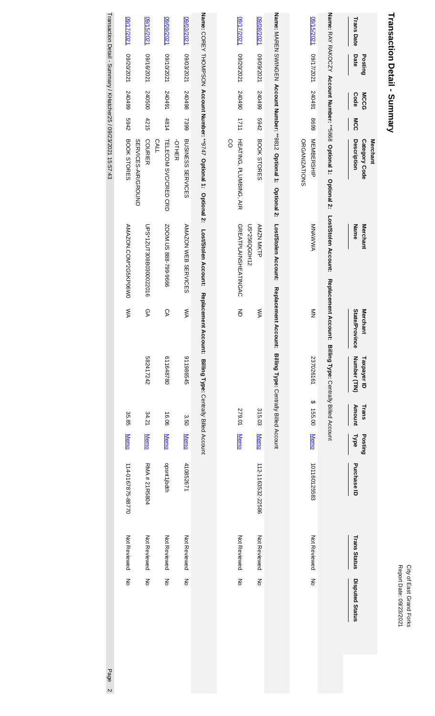# Transaction Detail - Summary **Transaction Detail - Summary**

|                                                                 | LZ0Z/ZV50            | 16/2021                               | 1202/60/60                          | 09/03/2021                                    |                                                                     |    | 17/2021                                     | 1202/80/60        |                                                                    |                      | 16/15/2021        |                                                                  | <b>Trans Date</b>                        |  |
|-----------------------------------------------------------------|----------------------|---------------------------------------|-------------------------------------|-----------------------------------------------|---------------------------------------------------------------------|----|---------------------------------------------|-------------------|--------------------------------------------------------------------|----------------------|-------------------|------------------------------------------------------------------|------------------------------------------|--|
|                                                                 | 1202/02/60           | 1202/91/60                            | 1202/01/60                          | 1202/2021                                     |                                                                     |    | 1202/02/60                                  | 1202/60/60        |                                                                    |                      | 1202/17/80        |                                                                  | Date<br>Posting                          |  |
|                                                                 | 66+0+2               | 240500                                | 167042                              | 240498                                        |                                                                     |    | 0670450                                     | 240499            |                                                                    |                      | 240491            |                                                                  | <b>MCCG</b><br><b>Code</b>               |  |
|                                                                 | 2769                 | 4215                                  | 4814                                | 7399                                          |                                                                     |    | 1711                                        | 2942              |                                                                    |                      | 6698              |                                                                  | MCC                                      |  |
| Transaction Detail - Summary / KHatcher25 / 09/23/2021 15:57:43 | BOOK STORES          | <b>COURIER</b><br>SERVICES-AIR/GROUND | <b>CALL</b><br>TELECOM SVC/CRED CRD | <b>BUSINESS SERVICES</b><br><b>-</b><br>ОТНЕК | Name: COREY THOMPSON Account Number: **9747 Optional 1: Optional 2: | SO | HEATING, PLUMBING, AIR                      | BOOK STORES       | Name: MAREN SWINGEN Account Number: **9812 Optional 1: Optional 2: | <b>ORGANIZATIONS</b> | <b>MEMBERSHIP</b> | Name: RAY RAKOCZY Account Number: **5668 Optional 1: Optional 2: | Description<br>Merchant<br>Category Code |  |
|                                                                 | AMAZON.COM*2G5KP06W0 | 0PS*1ZUT308B0300022016                | SOOM.US 888-799-9666                | AMAZON WEB SERVICES                           | Lost/Stolen Account:                                                |    | <b>GREATPLAINSHEATINGAC</b><br>US*256QG0H12 | <b>AMZN MKTP</b>  | Lost/Stolen Account:                                               |                      | <b>MNAWAMA</b>    | Lost/Stolen Account:                                             | Name<br><b>Merchant</b>                  |  |
|                                                                 | ŠХ                   | ĞА                                    | СA                                  | ŠХ                                            | Replacement                                                         |    | 증                                           | ŠХ                | Replacement Account: Billing Type: Centrally Billed Account        |                      | $\frac{2}{2}$     | Replacement Account: Billing Type: Centrally Billed Account      | State/Province<br>Merchant               |  |
|                                                                 |                      | 582417242                             | 611648780                           | 911986545                                     | t Account: Billing Type: Centrally Billed Account                   |    |                                             |                   |                                                                    |                      | 237026161         |                                                                  | Number (TIN)<br>Taxpayer ID              |  |
|                                                                 | 35.85                | 34.21                                 | 16.06                               | 3.50                                          |                                                                     |    | 279.01                                      | 315.03            |                                                                    |                      | ↔<br>155.00       |                                                                  | Amount<br>Trans                          |  |
|                                                                 | <b>Memo</b>          | <b>Memo</b>                           | <b>Memo</b>                         | <b>Memo</b>                                   |                                                                     |    | <b>Memo</b>                                 | <b>Memo</b>       |                                                                    |                      | <b>Memo</b>       |                                                                  | <b>Type</b><br>Posting                   |  |
|                                                                 | 114-0167875-88770    | RMA # 21R5804                         | dett/jbdth                          | 410852671                                     |                                                                     |    |                                             | 112-1163532-22586 |                                                                    |                      | 101160125583      |                                                                  | Purchase ID                              |  |
|                                                                 | Not Reviewed         | Not Reviewed                          | Not Reviewed                        | Not Reviewed                                  |                                                                     |    | Not Reviewed                                | Not Reviewed      |                                                                    |                      | Not Reviewed      |                                                                  | <b>Trans Status</b>                      |  |
|                                                                 | š                    | ξ                                     | ξ                                   | š                                             |                                                                     |    | š                                           | $\frac{2}{5}$     |                                                                    |                      | $\overline{5}$    |                                                                  | <b>Disputed Status</b>                   |  |
| Page                                                            |                      |                                       |                                     |                                               |                                                                     |    |                                             |                   |                                                                    |                      |                   |                                                                  |                                          |  |

 $\frac{1}{2}$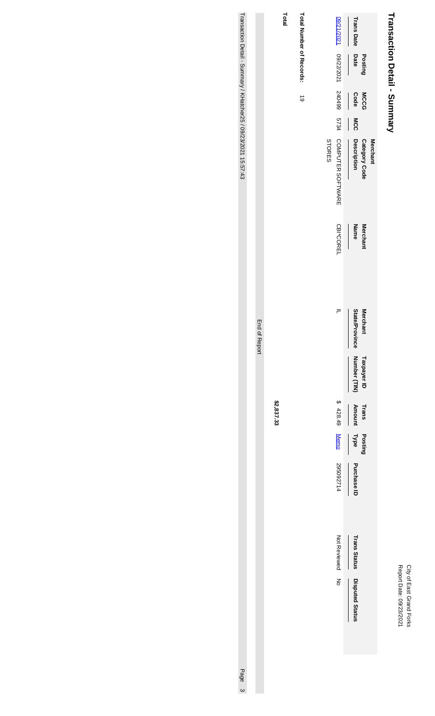## City of East Grand Forks<br>Report Date: 09/23/2021 Report Date: 09/23/2021 City of East Grand Forks

# Transaction Detail - Summary **Transaction Detail - Summary**

| Total | Total Number of Records: |        |                                                     | <b>Trans Date</b><br>Date | Posting              |                 |
|-------|--------------------------|--------|-----------------------------------------------------|---------------------------|----------------------|-----------------|
|       | $\vec{6}$                |        |                                                     | Code                      | <b>MCCG</b>          |                 |
|       |                          |        |                                                     | MCC                       |                      |                 |
|       |                          | STORES | 09/21/2021 09/22/2021 240499 5734 COMPUTER SOFTWARE | Description               | <b>Category Code</b> | <b>Merchant</b> |
|       |                          |        | CBI*COREL                                           | Name                      | Merchant             |                 |
|       |                          |        | ╒                                                   | State/Province            | <b>Merchant</b>      |                 |
|       |                          |        |                                                     | Number (TIN)              | Taxpayer ID          |                 |
|       |                          |        | \$428.49                                            | <b>Amount</b>             | Trans                |                 |
|       |                          |        |                                                     | Type                      | Posting              |                 |
|       |                          |        | Memo 295092714                                      | Purchase ID               |                      |                 |
|       |                          |        | Not Reviewed                                        | <b>Trans Status</b>       |                      |                 |
|       |                          |        | Σ<br>δ                                              | <b>Disputed Status</b>    |                      |                 |
|       |                          |        |                                                     |                           |                      |                 |

**\$2,837.33**

End of Report

End of Report

Transaction Detail - Summary / KHatcher25 / 09/23/2021 15:57:43 Transaction Detail - Summary / KHatcher25 / 09/23/2021 15:57:43 Page 3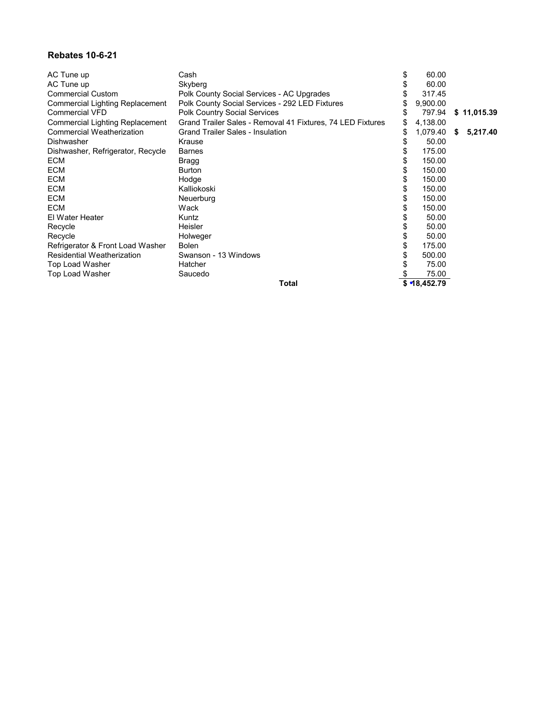#### **Rebates 10-6-21**

| AC Tune up                             | Cash                                                       | \$<br>60.00         |             |
|----------------------------------------|------------------------------------------------------------|---------------------|-------------|
| AC Tune up                             | Skyberg                                                    | 60.00               |             |
| <b>Commercial Custom</b>               | Polk County Social Services - AC Upgrades                  | 317.45              |             |
| <b>Commercial Lighting Replacement</b> | Polk County Social Services - 292 LED Fixtures             | 9,900.00            |             |
| <b>Commercial VFD</b>                  | <b>Polk Country Social Services</b>                        | 797.94              | \$11,015.39 |
| Commercial Lighting Replacement        | Grand Trailer Sales - Removal 41 Fixtures, 74 LED Fixtures | \$<br>4,138.00      |             |
| <b>Commercial Weatherization</b>       | <b>Grand Trailer Sales - Insulation</b>                    | \$<br>$1,079.40$ \$ | 5,217.40    |
| <b>Dishwasher</b>                      | Krause                                                     | 50.00               |             |
| Dishwasher, Refrigerator, Recycle      | <b>Barnes</b>                                              | 175.00              |             |
| <b>ECM</b>                             | Bragg                                                      | 150.00              |             |
| <b>ECM</b>                             | <b>Burton</b>                                              | 150.00              |             |
| <b>ECM</b>                             | Hodge                                                      | \$<br>150.00        |             |
| <b>ECM</b>                             | Kalliokoski                                                | 150.00              |             |
| <b>ECM</b>                             | Neuerburg                                                  | \$<br>150.00        |             |
| <b>ECM</b>                             | Wack                                                       | 150.00              |             |
| El Water Heater                        | Kuntz                                                      | 50.00               |             |
| Recycle                                | <b>Heisler</b>                                             | 50.00               |             |
| Recycle                                | Holweger                                                   | 50.00               |             |
| Refrigerator & Front Load Washer       | <b>Bolen</b>                                               | \$<br>175.00        |             |
| <b>Residential Weatherization</b>      | Swanson - 13 Windows                                       | 500.00              |             |
| Top Load Washer                        | Hatcher                                                    | 75.00               |             |
| Top Load Washer                        | Saucedo                                                    | 75.00               |             |
|                                        | Total                                                      | \$ 18,452.79        |             |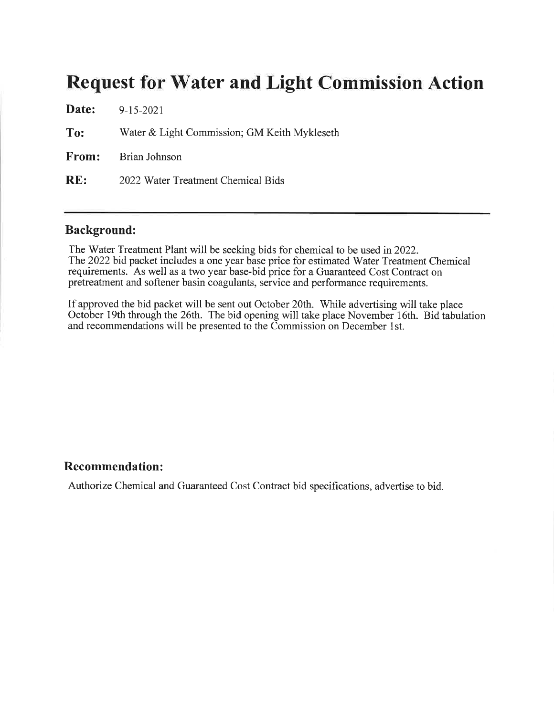### **Request for Water and Light Commission Action**

|     | <b>Date:</b> $9-15-2021$                     |
|-----|----------------------------------------------|
| To: | Water & Light Commission; GM Keith Mykleseth |
|     | <b>From:</b> Brian Johnson                   |
| RE: | 2022 Water Treatment Chemical Bids           |

#### **Background:**

The Water Treatment Plant will be seeking bids for chemical to be used in 2022. The 2022 bid packet includes a one year base price for estimated Water Treatment Chemical requirements. As well as a two year base-bid price for a Guaranteed Cost Contract on pretreatment and softener basin coagulants, service and performance requirements.

If approved the bid packet will be sent out October 20th. While advertising will take place October 19th through the 26th. The bid opening will take place November 16th. Bid tabulation and recommendations will be presented to the Commission on December 1st.

#### **Recommendation:**

Authorize Chemical and Guaranteed Cost Contract bid specifications, advertise to bid.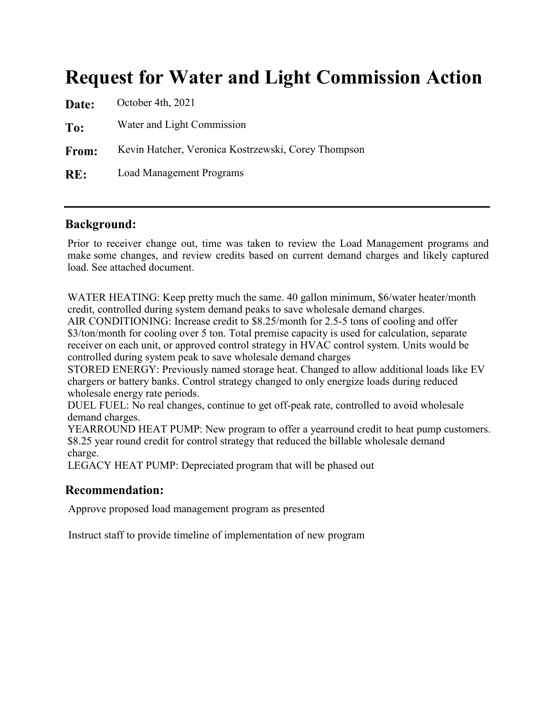## **Request for Water and Light Commission Action**

| Date: | October 4th, 2021                                   |
|-------|-----------------------------------------------------|
| To:   | Water and Light Commission                          |
| From: | Kevin Hatcher, Veronica Kostrzewski, Corey Thompson |
| RE:   | <b>Load Management Programs</b>                     |

#### **Background:**

Prior to receiver change out, time was taken to review the Load Management programs and make some changes, and review credits based on current demand charges and likely captured load. See attached document.

WATER HEATING: Keep pretty much the same. 40 gallon minimum, \$6/water heater/month credit, controlled during system demand peaks to save wholesale demand charges. AIR CONDITIONING: Increase credit to \$8.25/month for 2.5-5 tons of cooling and offer \$3/ton/month for cooling over 5 ton. Total premise capacity is used for calculation, separate receiver on each unit, or approved control strategy in HVAC control system. Units would be controlled during system peak to save wholesale demand charges

STORED ENERGY: Previously named storage heat. Changed to allow additional loads like EV chargers or battery banks. Control strategy changed to only energize loads during reduced wholesale energy rate periods.

DUEL FUEL: No real changes, continue to get off-peak rate, controlled to avoid wholesale demand charges.

YEARROUND HEAT PUMP: New program to offer a yearround credit to heat pump customers. \$8.25 year round credit for control strategy that reduced the billable wholesale demand charge.

LEGACY HEAT PUMP: Depreciated program that will be phased out

#### **Recommendation:**

Approve proposed load management program as presented

Instruct staff to provide timeline of implementation of new program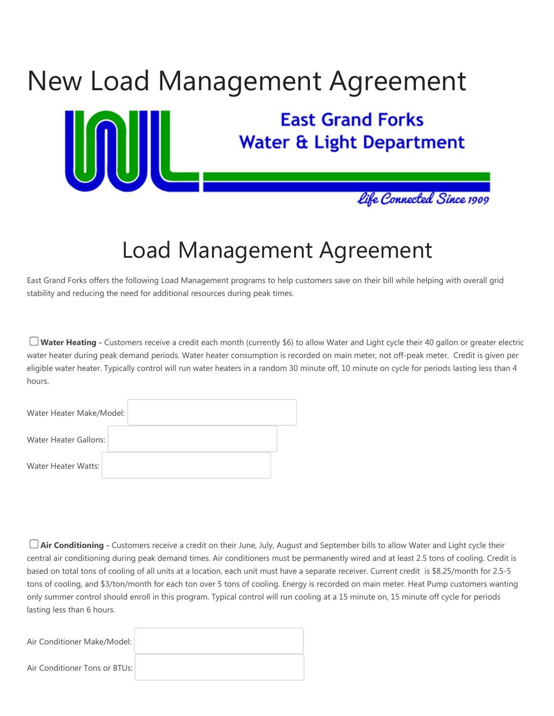

## Load Management Agreement

East Grand Forks offers the following Load Management programs to help customers save on their bill while helping with overall grid stability and reducing the need for additional resources during peak times.

**Water Heating -** Customers receive a credit each month (currently \$6) to allow Water and Light cycle their 40 gallon or greater electric water heater during peak demand periods. Water heater consumption is recorded on main meter, not off-peak meter. Credit is given per eligible water heater. Typically control will run water heaters in a random 30 minute off, 10 minute on cycle for periods lasting less than 4 hours.

| Water Heater Make/Model: |  |
|--------------------------|--|
| Water Heater Gallons:    |  |
| Water Heater Watts:      |  |

**Air Conditioning -** Customers receive a credit on their June, July, August and September bills to allow Water and Light cycle their central air conditioning during peak demand times. Air conditioners must be permanently wired and at least 2.5 tons of cooling. Credit is based on total tons of cooling of all units at a location, each unit must have a separate receiver. Current credit is \$8.25/month for 2.5-5 tons of cooling, and \$3/ton/month for each ton over 5 tons of cooling. Energy is recorded on main meter. Heat Pump customers wanting only summer control should enroll in this program. Typical control will run cooling at a 15 minute on, 15 minute off cycle for periods lasting less than 6 hours.

| Air Conditioner Make/Model:   |  |
|-------------------------------|--|
| Air Conditioner Tons or BTUs: |  |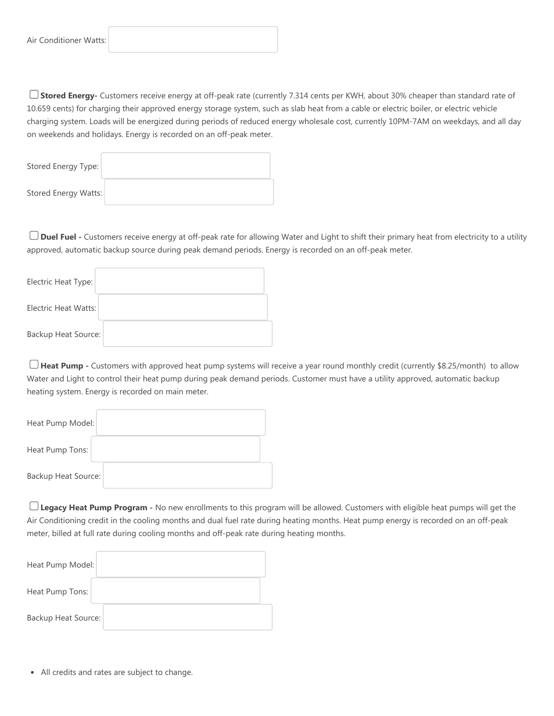**Stored Energy-** Customers receive energy at off-peak rate (currently 7.314 cents per KWH, about 30% cheaper than standard rate of 10.659 cents) for charging their approved energy storage system, such as slab heat from a cable or electric boiler, or electric vehicle charging system. Loads will be energized during periods of reduced energy wholesale cost, currently 10PM-7AM on weekdays, and all day on weekends and holidays. Energy is recorded on an off-peak meter.

| Stored Energy Type:  |  |
|----------------------|--|
| Stored Energy Watts: |  |

**Duel Fuel -** Customers receive energy at off-peak rate for allowing Water and Light to shift their primary heat from electricity to a utility approved, automatic backup source during peak demand periods. Energy is recorded on an off-peak meter.

| Electric Heat Type:        |  |
|----------------------------|--|
| Electric Heat Watts:       |  |
| <b>Backup Heat Source:</b> |  |

**Heat Pump -** Customers with approved heat pump systems will receive a year round monthly credit (currently \$8.25/month) to allow Water and Light to control their heat pump during peak demand periods. Customer must have a utility approved, automatic backup heating system. Energy is recorded on main meter.

| Heat Pump Model:           |  |
|----------------------------|--|
| Heat Pump Tons:            |  |
| <b>Backup Heat Source:</b> |  |

**Legacy Heat Pump Program -** No new enrollments to this program will be allowed. Customers with eligible heat pumps will get the Air Conditioning credit in the cooling months and dual fuel rate during heating months. Heat pump energy is recorded on an off-peak meter, billed at full rate during cooling months and off-peak rate during heating months.

| Heat Pump Model:           |  |
|----------------------------|--|
| Heat Pump Tons:            |  |
| <b>Backup Heat Source:</b> |  |

All credits and rates are subject to change.